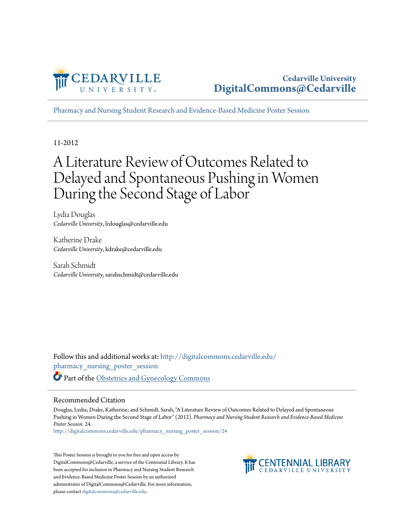

[Pharmacy and Nursing Student Research and Evidence-Based Medicine Poster Session](http://digitalcommons.cedarville.edu/pharmacy_nursing_poster_session?utm_source=digitalcommons.cedarville.edu%2Fpharmacy_nursing_poster_session%2F24&utm_medium=PDF&utm_campaign=PDFCoverPages)

11-2012

#### A Literature Review of Outcomes Related to Delayed and Spontaneous Pushing in Women During the Second Stage of Labor

Lydia Douglas *Cedarville University*, lrdouglas@cedarville.edu

Katherine Drake *Cedarville University*, kdrake@cedarville.edu

Sarah Schmidt *Cedarville University*, sarahschmidt@cedarville.edu

Follow this and additional works at: [http://digitalcommons.cedarville.edu/](http://digitalcommons.cedarville.edu/pharmacy_nursing_poster_session?utm_source=digitalcommons.cedarville.edu%2Fpharmacy_nursing_poster_session%2F24&utm_medium=PDF&utm_campaign=PDFCoverPages) [pharmacy\\_nursing\\_poster\\_session](http://digitalcommons.cedarville.edu/pharmacy_nursing_poster_session?utm_source=digitalcommons.cedarville.edu%2Fpharmacy_nursing_poster_session%2F24&utm_medium=PDF&utm_campaign=PDFCoverPages) Part of the [Obstetrics and Gynecology Commons](http://network.bepress.com/hgg/discipline/693?utm_source=digitalcommons.cedarville.edu%2Fpharmacy_nursing_poster_session%2F24&utm_medium=PDF&utm_campaign=PDFCoverPages)

#### Recommended Citation

Douglas, Lydia; Drake, Katherine; and Schmidt, Sarah, "A Literature Review of Outcomes Related to Delayed and Spontaneous Pushing in Women During the Second Stage of Labor" (2012). *Pharmacy and Nursing Student Research and Evidence-Based Medicine Poster Session*. 24.

[http://digitalcommons.cedarville.edu/pharmacy\\_nursing\\_poster\\_session/24](http://digitalcommons.cedarville.edu/pharmacy_nursing_poster_session/24?utm_source=digitalcommons.cedarville.edu%2Fpharmacy_nursing_poster_session%2F24&utm_medium=PDF&utm_campaign=PDFCoverPages)

This Poster Session is brought to you for free and open access by DigitalCommons@Cedarville, a service of the Centennial Library. It has been accepted for inclusion in Pharmacy and Nursing Student Research and Evidence-Based Medicine Poster Session by an authorized administrator of DigitalCommons@Cedarville. For more information, please contact [digitalcommons@cedarville.edu.](mailto:digitalcommons@cedarville.edu)